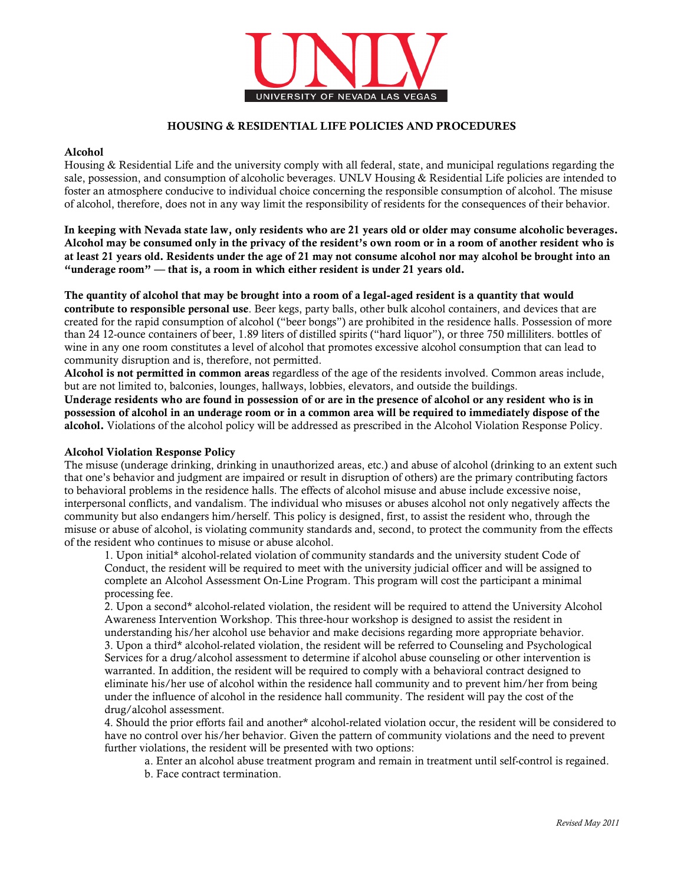

# HOUSING & RESIDENTIAL LIFE POLICIES AND PROCEDURES

## Alcohol

Housing & Residential Life and the university comply with all federal, state, and municipal regulations regarding the sale, possession, and consumption of alcoholic beverages. UNLV Housing & Residential Life policies are intended to foster an atmosphere conducive to individual choice concerning the responsible consumption of alcohol. The misuse of alcohol, therefore, does not in any way limit the responsibility of residents for the consequences of their behavior.

In keeping with Nevada state law, only residents who are 21 years old or older may consume alcoholic beverages. Alcohol may be consumed only in the privacy of the resident's own room or in a room of another resident who is at least 21 years old. Residents under the age of 21 may not consume alcohol nor may alcohol be brought into an "underage room" — that is, a room in which either resident is under 21 years old.

The quantity of alcohol that may be brought into a room of a legal-aged resident is a quantity that would contribute to responsible personal use. Beer kegs, party balls, other bulk alcohol containers, and devices that are created for the rapid consumption of alcohol ("beer bongs") are prohibited in the residence halls. Possession of more than 24 12-ounce containers of beer, 1.89 liters of distilled spirits ("hard liquor"), or three 750 milliliters. bottles of wine in any one room constitutes a level of alcohol that promotes excessive alcohol consumption that can lead to community disruption and is, therefore, not permitted.

Alcohol is not permitted in common areas regardless of the age of the residents involved. Common areas include, but are not limited to, balconies, lounges, hallways, lobbies, elevators, and outside the buildings.

Underage residents who are found in possession of or are in the presence of alcohol or any resident who is in possession of alcohol in an underage room or in a common area will be required to immediately dispose of the alcohol. Violations of the alcohol policy will be addressed as prescribed in the Alcohol Violation Response Policy.

# Alcohol Violation Response Policy

The misuse (underage drinking, drinking in unauthorized areas, etc.) and abuse of alcohol (drinking to an extent such that one's behavior and judgment are impaired or result in disruption of others) are the primary contributing factors to behavioral problems in the residence halls. The effects of alcohol misuse and abuse include excessive noise, interpersonal conflicts, and vandalism. The individual who misuses or abuses alcohol not only negatively affects the community but also endangers him/herself. This policy is designed, first, to assist the resident who, through the misuse or abuse of alcohol, is violating community standards and, second, to protect the community from the effects of the resident who continues to misuse or abuse alcohol.

1. Upon initial\* alcohol-related violation of community standards and the university student Code of Conduct, the resident will be required to meet with the university judicial officer and will be assigned to complete an Alcohol Assessment On-Line Program. This program will cost the participant a minimal processing fee.

2. Upon a second\* alcohol-related violation, the resident will be required to attend the University Alcohol Awareness Intervention Workshop. This three-hour workshop is designed to assist the resident in understanding his/her alcohol use behavior and make decisions regarding more appropriate behavior. 3. Upon a third\* alcohol-related violation, the resident will be referred to Counseling and Psychological Services for a drug/alcohol assessment to determine if alcohol abuse counseling or other intervention is warranted. In addition, the resident will be required to comply with a behavioral contract designed to eliminate his/her use of alcohol within the residence hall community and to prevent him/her from being under the influence of alcohol in the residence hall community. The resident will pay the cost of the drug/alcohol assessment.

4. Should the prior efforts fail and another\* alcohol-related violation occur, the resident will be considered to have no control over his/her behavior. Given the pattern of community violations and the need to prevent further violations, the resident will be presented with two options:

a. Enter an alcohol abuse treatment program and remain in treatment until self-control is regained. b. Face contract termination.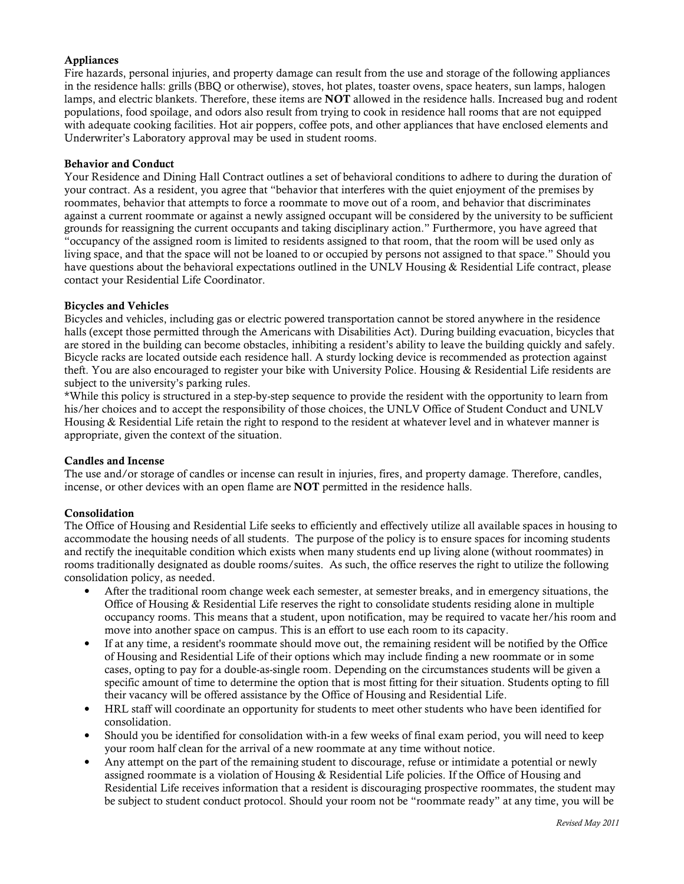# Appliances

Fire hazards, personal injuries, and property damage can result from the use and storage of the following appliances in the residence halls: grills (BBQ or otherwise), stoves, hot plates, toaster ovens, space heaters, sun lamps, halogen lamps, and electric blankets. Therefore, these items are **NOT** allowed in the residence halls. Increased bug and rodent populations, food spoilage, and odors also result from trying to cook in residence hall rooms that are not equipped with adequate cooking facilities. Hot air poppers, coffee pots, and other appliances that have enclosed elements and Underwriter's Laboratory approval may be used in student rooms.

## Behavior and Conduct

Your Residence and Dining Hall Contract outlines a set of behavioral conditions to adhere to during the duration of your contract. As a resident, you agree that "behavior that interferes with the quiet enjoyment of the premises by roommates, behavior that attempts to force a roommate to move out of a room, and behavior that discriminates against a current roommate or against a newly assigned occupant will be considered by the university to be sufficient grounds for reassigning the current occupants and taking disciplinary action." Furthermore, you have agreed that "occupancy of the assigned room is limited to residents assigned to that room, that the room will be used only as living space, and that the space will not be loaned to or occupied by persons not assigned to that space." Should you have questions about the behavioral expectations outlined in the UNLV Housing & Residential Life contract, please contact your Residential Life Coordinator.

## Bicycles and Vehicles

Bicycles and vehicles, including gas or electric powered transportation cannot be stored anywhere in the residence halls (except those permitted through the Americans with Disabilities Act). During building evacuation, bicycles that are stored in the building can become obstacles, inhibiting a resident's ability to leave the building quickly and safely. Bicycle racks are located outside each residence hall. A sturdy locking device is recommended as protection against theft. You are also encouraged to register your bike with University Police. Housing & Residential Life residents are subject to the university's parking rules.

\*While this policy is structured in a step-by-step sequence to provide the resident with the opportunity to learn from his/her choices and to accept the responsibility of those choices, the UNLV Office of Student Conduct and UNLV Housing & Residential Life retain the right to respond to the resident at whatever level and in whatever manner is appropriate, given the context of the situation.

# Candles and Incense

The use and/or storage of candles or incense can result in injuries, fires, and property damage. Therefore, candles, incense, or other devices with an open flame are NOT permitted in the residence halls.

# Consolidation

The Office of Housing and Residential Life seeks to efficiently and effectively utilize all available spaces in housing to accommodate the housing needs of all students. The purpose of the policy is to ensure spaces for incoming students and rectify the inequitable condition which exists when many students end up living alone (without roommates) in rooms traditionally designated as double rooms/suites. As such, the office reserves the right to utilize the following consolidation policy, as needed.

- After the traditional room change week each semester, at semester breaks, and in emergency situations, the Office of Housing & Residential Life reserves the right to consolidate students residing alone in multiple occupancy rooms. This means that a student, upon notification, may be required to vacate her/his room and move into another space on campus. This is an effort to use each room to its capacity.
- If at any time, a resident's roommate should move out, the remaining resident will be notified by the Office of Housing and Residential Life of their options which may include finding a new roommate or in some cases, opting to pay for a double-as-single room. Depending on the circumstances students will be given a specific amount of time to determine the option that is most fitting for their situation. Students opting to fill their vacancy will be offered assistance by the Office of Housing and Residential Life.
- HRL staff will coordinate an opportunity for students to meet other students who have been identified for consolidation.
- Should you be identified for consolidation with-in a few weeks of final exam period, you will need to keep your room half clean for the arrival of a new roommate at any time without notice.
- Any attempt on the part of the remaining student to discourage, refuse or intimidate a potential or newly assigned roommate is a violation of Housing & Residential Life policies. If the Office of Housing and Residential Life receives information that a resident is discouraging prospective roommates, the student may be subject to student conduct protocol. Should your room not be "roommate ready" at any time, you will be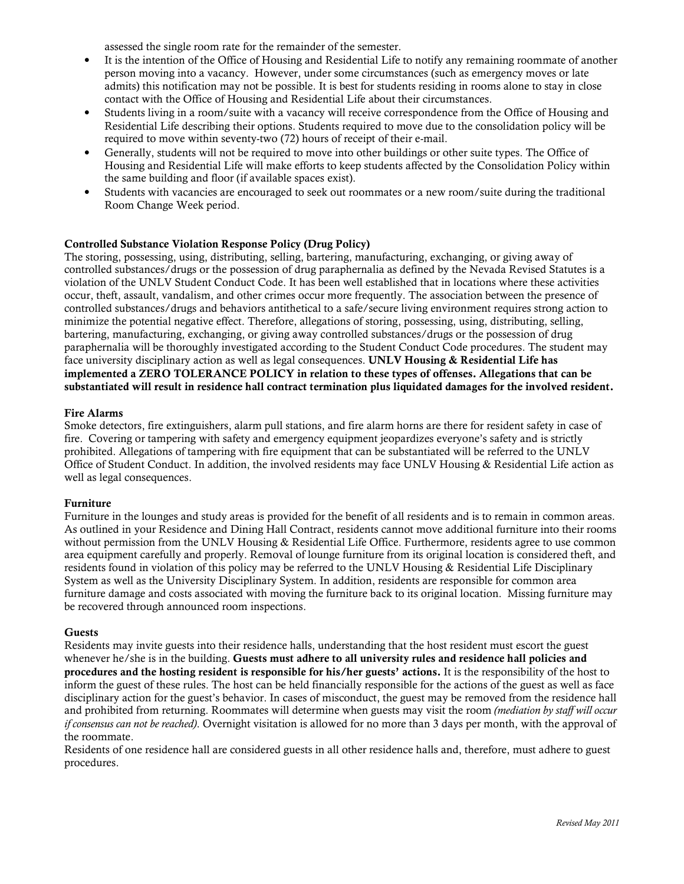assessed the single room rate for the remainder of the semester.

- It is the intention of the Office of Housing and Residential Life to notify any remaining roommate of another person moving into a vacancy. However, under some circumstances (such as emergency moves or late admits) this notification may not be possible. It is best for students residing in rooms alone to stay in close contact with the Office of Housing and Residential Life about their circumstances.
- Students living in a room/suite with a vacancy will receive correspondence from the Office of Housing and Residential Life describing their options. Students required to move due to the consolidation policy will be required to move within seventy-two (72) hours of receipt of their e-mail.
- Generally, students will not be required to move into other buildings or other suite types. The Office of Housing and Residential Life will make efforts to keep students affected by the Consolidation Policy within the same building and floor (if available spaces exist).
- Students with vacancies are encouraged to seek out roommates or a new room/suite during the traditional Room Change Week period.

## Controlled Substance Violation Response Policy (Drug Policy)

The storing, possessing, using, distributing, selling, bartering, manufacturing, exchanging, or giving away of controlled substances/drugs or the possession of drug paraphernalia as defined by the Nevada Revised Statutes is a violation of the UNLV Student Conduct Code. It has been well established that in locations where these activities occur, theft, assault, vandalism, and other crimes occur more frequently. The association between the presence of controlled substances/drugs and behaviors antithetical to a safe/secure living environment requires strong action to minimize the potential negative effect. Therefore, allegations of storing, possessing, using, distributing, selling, bartering, manufacturing, exchanging, or giving away controlled substances/drugs or the possession of drug paraphernalia will be thoroughly investigated according to the Student Conduct Code procedures. The student may face university disciplinary action as well as legal consequences. UNLV Housing & Residential Life has implemented a ZERO TOLERANCE POLICY in relation to these types of offenses. Allegations that can be substantiated will result in residence hall contract termination plus liquidated damages for the involved resident.

#### Fire Alarms

Smoke detectors, fire extinguishers, alarm pull stations, and fire alarm horns are there for resident safety in case of fire. Covering or tampering with safety and emergency equipment jeopardizes everyone's safety and is strictly prohibited. Allegations of tampering with fire equipment that can be substantiated will be referred to the UNLV Office of Student Conduct. In addition, the involved residents may face UNLV Housing & Residential Life action as well as legal consequences.

#### Furniture

Furniture in the lounges and study areas is provided for the benefit of all residents and is to remain in common areas. As outlined in your Residence and Dining Hall Contract, residents cannot move additional furniture into their rooms without permission from the UNLV Housing & Residential Life Office. Furthermore, residents agree to use common area equipment carefully and properly. Removal of lounge furniture from its original location is considered theft, and residents found in violation of this policy may be referred to the UNLV Housing & Residential Life Disciplinary System as well as the University Disciplinary System. In addition, residents are responsible for common area furniture damage and costs associated with moving the furniture back to its original location. Missing furniture may be recovered through announced room inspections.

#### Guests

Residents may invite guests into their residence halls, understanding that the host resident must escort the guest whenever he/she is in the building. Guests must adhere to all university rules and residence hall policies and procedures and the hosting resident is responsible for his/her guests' actions. It is the responsibility of the host to inform the guest of these rules. The host can be held financially responsible for the actions of the guest as well as face disciplinary action for the guest's behavior. In cases of misconduct, the guest may be removed from the residence hall and prohibited from returning. Roommates will determine when guests may visit the room (mediation by staff will occur if consensus can not be reached). Overnight visitation is allowed for no more than 3 days per month, with the approval of the roommate.

Residents of one residence hall are considered guests in all other residence halls and, therefore, must adhere to guest procedures.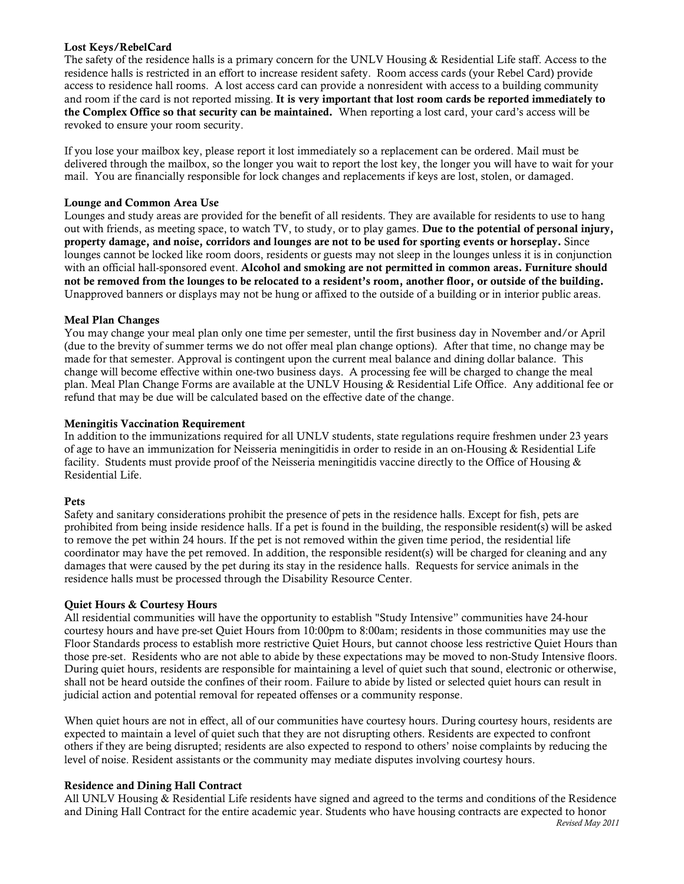# Lost Keys/RebelCard

The safety of the residence halls is a primary concern for the UNLV Housing & Residential Life staff. Access to the residence halls is restricted in an effort to increase resident safety. Room access cards (your Rebel Card) provide access to residence hall rooms. A lost access card can provide a nonresident with access to a building community and room if the card is not reported missing. It is very important that lost room cards be reported immediately to the Complex Office so that security can be maintained. When reporting a lost card, your card's access will be revoked to ensure your room security.

If you lose your mailbox key, please report it lost immediately so a replacement can be ordered. Mail must be delivered through the mailbox, so the longer you wait to report the lost key, the longer you will have to wait for your mail. You are financially responsible for lock changes and replacements if keys are lost, stolen, or damaged.

# Lounge and Common Area Use

Lounges and study areas are provided for the benefit of all residents. They are available for residents to use to hang out with friends, as meeting space, to watch TV, to study, or to play games. Due to the potential of personal injury, property damage, and noise, corridors and lounges are not to be used for sporting events or horseplay. Since lounges cannot be locked like room doors, residents or guests may not sleep in the lounges unless it is in conjunction with an official hall-sponsored event. Alcohol and smoking are not permitted in common areas. Furniture should not be removed from the lounges to be relocated to a resident's room, another floor, or outside of the building. Unapproved banners or displays may not be hung or affixed to the outside of a building or in interior public areas.

# Meal Plan Changes

You may change your meal plan only one time per semester, until the first business day in November and/or April (due to the brevity of summer terms we do not offer meal plan change options). After that time, no change may be made for that semester. Approval is contingent upon the current meal balance and dining dollar balance. This change will become effective within one-two business days. A processing fee will be charged to change the meal plan. Meal Plan Change Forms are available at the UNLV Housing & Residential Life Office. Any additional fee or refund that may be due will be calculated based on the effective date of the change.

# Meningitis Vaccination Requirement

In addition to the immunizations required for all UNLV students, state regulations require freshmen under 23 years of age to have an immunization for Neisseria meningitidis in order to reside in an on-Housing & Residential Life facility. Students must provide proof of the Neisseria meningitidis vaccine directly to the Office of Housing & Residential Life.

# Pets

Safety and sanitary considerations prohibit the presence of pets in the residence halls. Except for fish, pets are prohibited from being inside residence halls. If a pet is found in the building, the responsible resident(s) will be asked to remove the pet within 24 hours. If the pet is not removed within the given time period, the residential life coordinator may have the pet removed. In addition, the responsible resident(s) will be charged for cleaning and any damages that were caused by the pet during its stay in the residence halls. Requests for service animals in the residence halls must be processed through the Disability Resource Center.

# Quiet Hours & Courtesy Hours

All residential communities will have the opportunity to establish "Study Intensive" communities have 24-hour courtesy hours and have pre-set Quiet Hours from 10:00pm to 8:00am; residents in those communities may use the Floor Standards process to establish more restrictive Quiet Hours, but cannot choose less restrictive Quiet Hours than those pre-set. Residents who are not able to abide by these expectations may be moved to non-Study Intensive floors. During quiet hours, residents are responsible for maintaining a level of quiet such that sound, electronic or otherwise, shall not be heard outside the confines of their room. Failure to abide by listed or selected quiet hours can result in judicial action and potential removal for repeated offenses or a community response.

When quiet hours are not in effect, all of our communities have courtesy hours. During courtesy hours, residents are expected to maintain a level of quiet such that they are not disrupting others. Residents are expected to confront others if they are being disrupted; residents are also expected to respond to others' noise complaints by reducing the level of noise. Resident assistants or the community may mediate disputes involving courtesy hours.

# Residence and Dining Hall Contract

All UNLV Housing & Residential Life residents have signed and agreed to the terms and conditions of the Residence and Dining Hall Contract for the entire academic year. Students who have housing contracts are expected to honor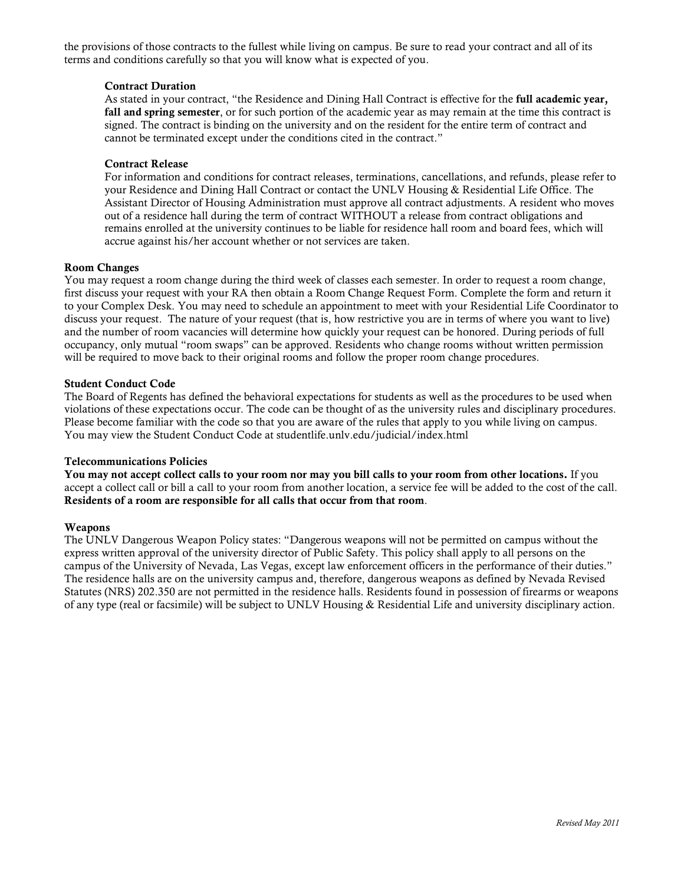the provisions of those contracts to the fullest while living on campus. Be sure to read your contract and all of its terms and conditions carefully so that you will know what is expected of you.

# Contract Duration

As stated in your contract, "the Residence and Dining Hall Contract is effective for the full academic year, fall and spring semester, or for such portion of the academic year as may remain at the time this contract is signed. The contract is binding on the university and on the resident for the entire term of contract and cannot be terminated except under the conditions cited in the contract."

## Contract Release

For information and conditions for contract releases, terminations, cancellations, and refunds, please refer to your Residence and Dining Hall Contract or contact the UNLV Housing & Residential Life Office. The Assistant Director of Housing Administration must approve all contract adjustments. A resident who moves out of a residence hall during the term of contract WITHOUT a release from contract obligations and remains enrolled at the university continues to be liable for residence hall room and board fees, which will accrue against his/her account whether or not services are taken.

## Room Changes

You may request a room change during the third week of classes each semester. In order to request a room change, first discuss your request with your RA then obtain a Room Change Request Form. Complete the form and return it to your Complex Desk. You may need to schedule an appointment to meet with your Residential Life Coordinator to discuss your request. The nature of your request (that is, how restrictive you are in terms of where you want to live) and the number of room vacancies will determine how quickly your request can be honored. During periods of full occupancy, only mutual "room swaps" can be approved. Residents who change rooms without written permission will be required to move back to their original rooms and follow the proper room change procedures.

## Student Conduct Code

The Board of Regents has defined the behavioral expectations for students as well as the procedures to be used when violations of these expectations occur. The code can be thought of as the university rules and disciplinary procedures. Please become familiar with the code so that you are aware of the rules that apply to you while living on campus. You may view the Student Conduct Code at studentlife.unlv.edu/judicial/index.html

#### Telecommunications Policies

You may not accept collect calls to your room nor may you bill calls to your room from other locations. If you accept a collect call or bill a call to your room from another location, a service fee will be added to the cost of the call. Residents of a room are responsible for all calls that occur from that room.

#### Weapons

The UNLV Dangerous Weapon Policy states: "Dangerous weapons will not be permitted on campus without the express written approval of the university director of Public Safety. This policy shall apply to all persons on the campus of the University of Nevada, Las Vegas, except law enforcement officers in the performance of their duties." The residence halls are on the university campus and, therefore, dangerous weapons as defined by Nevada Revised Statutes (NRS) 202.350 are not permitted in the residence halls. Residents found in possession of firearms or weapons of any type (real or facsimile) will be subject to UNLV Housing & Residential Life and university disciplinary action.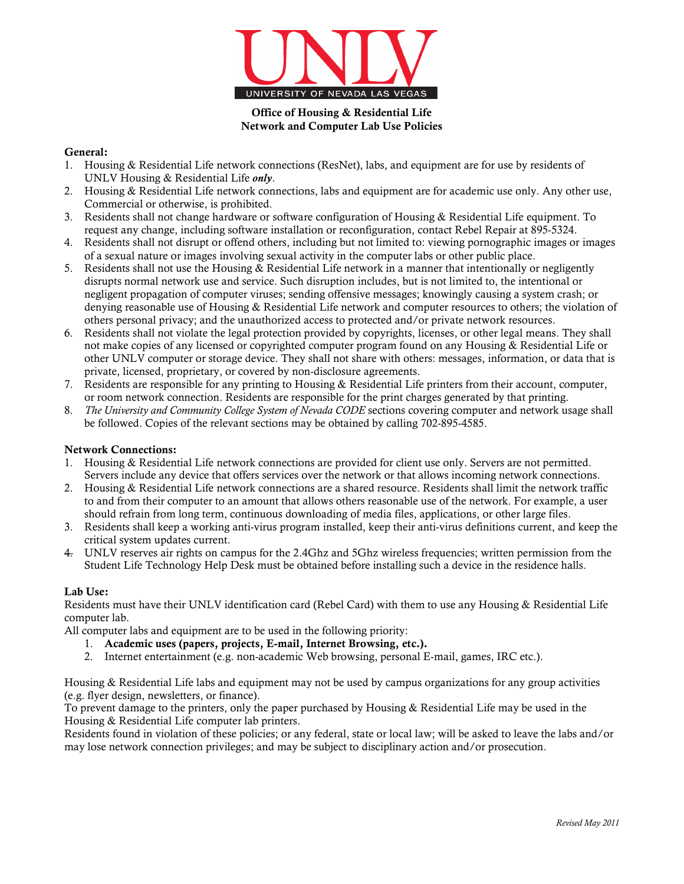

Office of Housing & Residential Life Network and Computer Lab Use Policies

# General:

- 1. Housing & Residential Life network connections (ResNet), labs, and equipment are for use by residents of UNLV Housing & Residential Life only.
- 2. Housing & Residential Life network connections, labs and equipment are for academic use only. Any other use, Commercial or otherwise, is prohibited.
- 3. Residents shall not change hardware or software configuration of Housing & Residential Life equipment. To request any change, including software installation or reconfiguration, contact Rebel Repair at 895-5324.
- 4. Residents shall not disrupt or offend others, including but not limited to: viewing pornographic images or images of a sexual nature or images involving sexual activity in the computer labs or other public place.
- 5. Residents shall not use the Housing & Residential Life network in a manner that intentionally or negligently disrupts normal network use and service. Such disruption includes, but is not limited to, the intentional or negligent propagation of computer viruses; sending offensive messages; knowingly causing a system crash; or denying reasonable use of Housing & Residential Life network and computer resources to others; the violation of others personal privacy; and the unauthorized access to protected and/or private network resources.
- 6. Residents shall not violate the legal protection provided by copyrights, licenses, or other legal means. They shall not make copies of any licensed or copyrighted computer program found on any Housing & Residential Life or other UNLV computer or storage device. They shall not share with others: messages, information, or data that is private, licensed, proprietary, or covered by non-disclosure agreements.
- 7. Residents are responsible for any printing to Housing & Residential Life printers from their account, computer, or room network connection. Residents are responsible for the print charges generated by that printing.
- 8. The University and Community College System of Nevada CODE sections covering computer and network usage shall be followed. Copies of the relevant sections may be obtained by calling 702-895-4585.

# Network Connections:

- 1. Housing & Residential Life network connections are provided for client use only. Servers are not permitted. Servers include any device that offers services over the network or that allows incoming network connections.
- 2. Housing & Residential Life network connections are a shared resource. Residents shall limit the network traffic to and from their computer to an amount that allows others reasonable use of the network. For example, a user should refrain from long term, continuous downloading of media files, applications, or other large files.
- 3. Residents shall keep a working anti-virus program installed, keep their anti-virus definitions current, and keep the critical system updates current.
- 4. UNLV reserves air rights on campus for the 2.4Ghz and 5Ghz wireless frequencies; written permission from the Student Life Technology Help Desk must be obtained before installing such a device in the residence halls.

# Lab Use:

Residents must have their UNLV identification card (Rebel Card) with them to use any Housing & Residential Life computer lab.

All computer labs and equipment are to be used in the following priority:

- 1. Academic uses (papers, projects, E-mail, Internet Browsing, etc.).
- 2. Internet entertainment (e.g. non-academic Web browsing, personal E-mail, games, IRC etc.).

Housing & Residential Life labs and equipment may not be used by campus organizations for any group activities (e.g. flyer design, newsletters, or finance).

To prevent damage to the printers, only the paper purchased by Housing & Residential Life may be used in the Housing & Residential Life computer lab printers.

Residents found in violation of these policies; or any federal, state or local law; will be asked to leave the labs and/or may lose network connection privileges; and may be subject to disciplinary action and/or prosecution.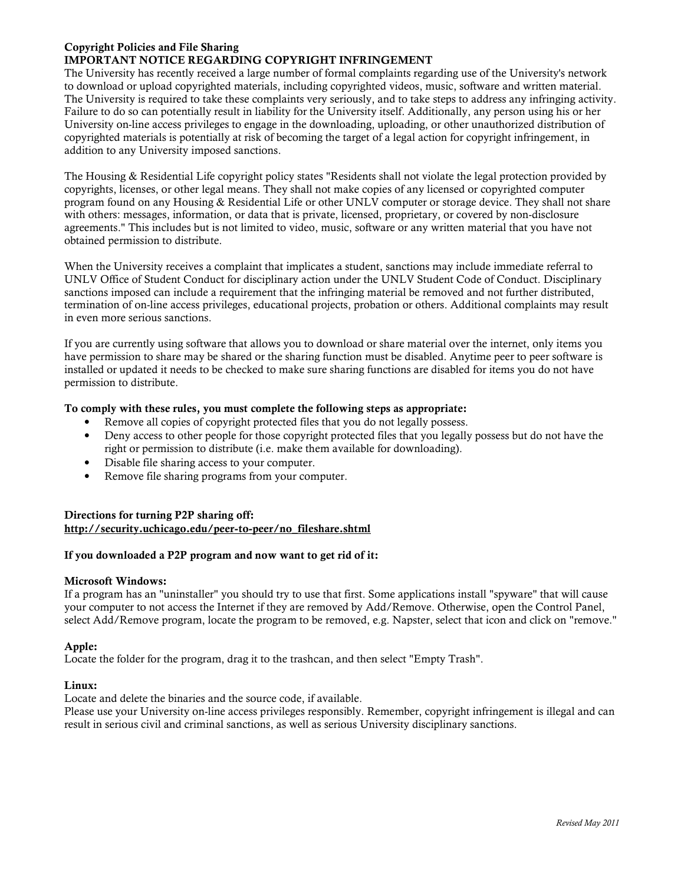# Copyright Policies and File Sharing

# IMPORTANT NOTICE REGARDING COPYRIGHT INFRINGEMENT

The University has recently received a large number of formal complaints regarding use of the University's network to download or upload copyrighted materials, including copyrighted videos, music, software and written material. The University is required to take these complaints very seriously, and to take steps to address any infringing activity. Failure to do so can potentially result in liability for the University itself. Additionally, any person using his or her University on-line access privileges to engage in the downloading, uploading, or other unauthorized distribution of copyrighted materials is potentially at risk of becoming the target of a legal action for copyright infringement, in addition to any University imposed sanctions.

The Housing & Residential Life copyright policy states "Residents shall not violate the legal protection provided by copyrights, licenses, or other legal means. They shall not make copies of any licensed or copyrighted computer program found on any Housing & Residential Life or other UNLV computer or storage device. They shall not share with others: messages, information, or data that is private, licensed, proprietary, or covered by non-disclosure agreements." This includes but is not limited to video, music, software or any written material that you have not obtained permission to distribute.

When the University receives a complaint that implicates a student, sanctions may include immediate referral to UNLV Office of Student Conduct for disciplinary action under the UNLV Student Code of Conduct. Disciplinary sanctions imposed can include a requirement that the infringing material be removed and not further distributed, termination of on-line access privileges, educational projects, probation or others. Additional complaints may result in even more serious sanctions.

If you are currently using software that allows you to download or share material over the internet, only items you have permission to share may be shared or the sharing function must be disabled. Anytime peer to peer software is installed or updated it needs to be checked to make sure sharing functions are disabled for items you do not have permission to distribute.

## To comply with these rules, you must complete the following steps as appropriate:

- Remove all copies of copyright protected files that you do not legally possess.
- Deny access to other people for those copyright protected files that you legally possess but do not have the right or permission to distribute (i.e. make them available for downloading).
- Disable file sharing access to your computer.
- Remove file sharing programs from your computer.

# Directions for turning P2P sharing off: http://security.uchicago.edu/peer-to-peer/no\_fileshare.shtml

## If you downloaded a P2P program and now want to get rid of it:

#### Microsoft Windows:

If a program has an "uninstaller" you should try to use that first. Some applications install "spyware" that will cause your computer to not access the Internet if they are removed by Add/Remove. Otherwise, open the Control Panel, select Add/Remove program, locate the program to be removed, e.g. Napster, select that icon and click on "remove."

#### Apple:

Locate the folder for the program, drag it to the trashcan, and then select "Empty Trash".

#### Linux:

Locate and delete the binaries and the source code, if available.

Please use your University on-line access privileges responsibly. Remember, copyright infringement is illegal and can result in serious civil and criminal sanctions, as well as serious University disciplinary sanctions.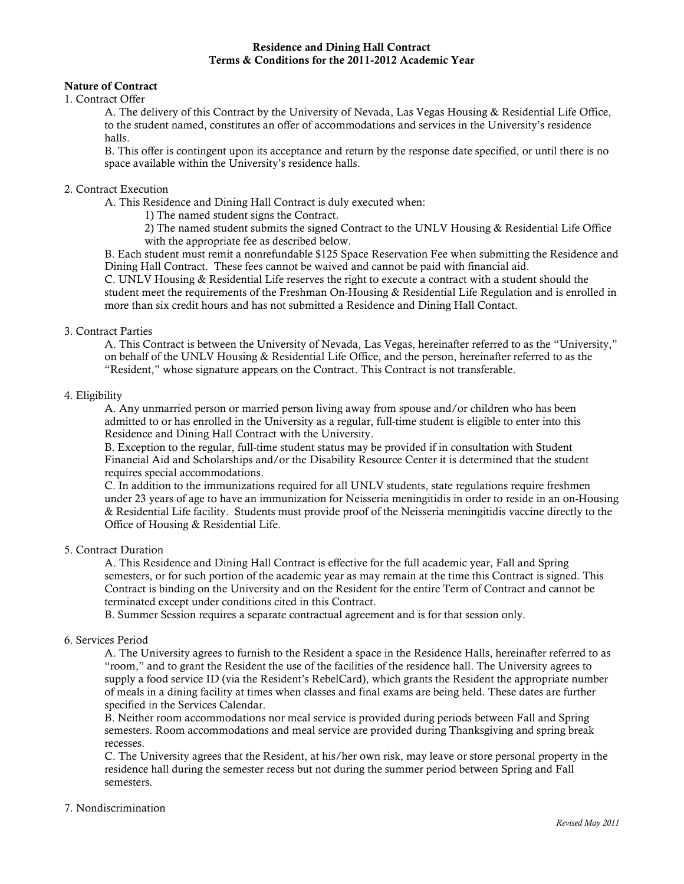#### Residence and Dining Hall Contract Terms & Conditions for the 2011-2012 Academic Year

# Nature of Contract

## 1. Contract Offer

A. The delivery of this Contract by the University of Nevada, Las Vegas Housing & Residential Life Office, to the student named, constitutes an offer of accommodations and services in the University's residence halls.

B. This offer is contingent upon its acceptance and return by the response date specified, or until there is no space available within the University's residence halls.

## 2. Contract Execution

A. This Residence and Dining Hall Contract is duly executed when:

1) The named student signs the Contract.

2) The named student submits the signed Contract to the UNLV Housing & Residential Life Office with the appropriate fee as described below.

B. Each student must remit a nonrefundable \$125 Space Reservation Fee when submitting the Residence and Dining Hall Contract. These fees cannot be waived and cannot be paid with financial aid.

C. UNLV Housing & Residential Life reserves the right to execute a contract with a student should the student meet the requirements of the Freshman On-Housing & Residential Life Regulation and is enrolled in more than six credit hours and has not submitted a Residence and Dining Hall Contact.

## 3. Contract Parties

A. This Contract is between the University of Nevada, Las Vegas, hereinafter referred to as the "University," on behalf of the UNLV Housing & Residential Life Office, and the person, hereinafter referred to as the "Resident," whose signature appears on the Contract. This Contract is not transferable.

## 4. Eligibility

A. Any unmarried person or married person living away from spouse and/or children who has been admitted to or has enrolled in the University as a regular, full-time student is eligible to enter into this Residence and Dining Hall Contract with the University.

B. Exception to the regular, full-time student status may be provided if in consultation with Student Financial Aid and Scholarships and/or the Disability Resource Center it is determined that the student requires special accommodations.

C. In addition to the immunizations required for all UNLV students, state regulations require freshmen under 23 years of age to have an immunization for Neisseria meningitidis in order to reside in an on-Housing & Residential Life facility. Students must provide proof of the Neisseria meningitidis vaccine directly to the Office of Housing & Residential Life.

#### 5. Contract Duration

A. This Residence and Dining Hall Contract is effective for the full academic year, Fall and Spring semesters, or for such portion of the academic year as may remain at the time this Contract is signed. This Contract is binding on the University and on the Resident for the entire Term of Contract and cannot be terminated except under conditions cited in this Contract.

B. Summer Session requires a separate contractual agreement and is for that session only.

## 6. Services Period

A. The University agrees to furnish to the Resident a space in the Residence Halls, hereinafter referred to as "room," and to grant the Resident the use of the facilities of the residence hall. The University agrees to supply a food service ID (via the Resident's RebelCard), which grants the Resident the appropriate number of meals in a dining facility at times when classes and final exams are being held. These dates are further specified in the Services Calendar.

B. Neither room accommodations nor meal service is provided during periods between Fall and Spring semesters. Room accommodations and meal service are provided during Thanksgiving and spring break recesses.

C. The University agrees that the Resident, at his/her own risk, may leave or store personal property in the residence hall during the semester recess but not during the summer period between Spring and Fall semesters.

#### 7. Nondiscrimination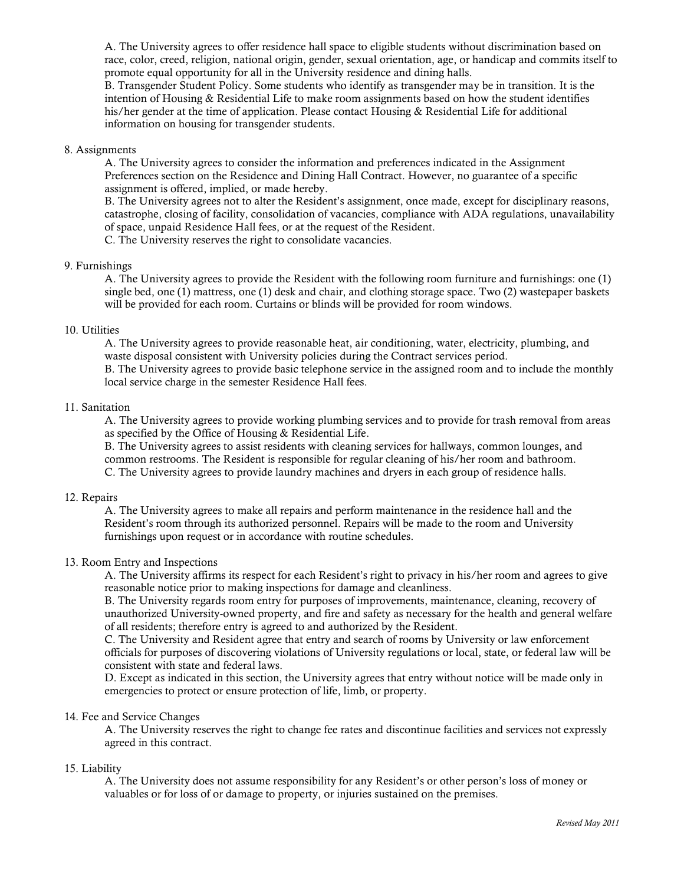A. The University agrees to offer residence hall space to eligible students without discrimination based on race, color, creed, religion, national origin, gender, sexual orientation, age, or handicap and commits itself to promote equal opportunity for all in the University residence and dining halls.

B. Transgender Student Policy. Some students who identify as transgender may be in transition. It is the intention of Housing & Residential Life to make room assignments based on how the student identifies his/her gender at the time of application. Please contact Housing & Residential Life for additional information on housing for transgender students.

#### 8. Assignments

A. The University agrees to consider the information and preferences indicated in the Assignment Preferences section on the Residence and Dining Hall Contract. However, no guarantee of a specific assignment is offered, implied, or made hereby.

B. The University agrees not to alter the Resident's assignment, once made, except for disciplinary reasons, catastrophe, closing of facility, consolidation of vacancies, compliance with ADA regulations, unavailability of space, unpaid Residence Hall fees, or at the request of the Resident.

C. The University reserves the right to consolidate vacancies.

## 9. Furnishings

A. The University agrees to provide the Resident with the following room furniture and furnishings: one (1) single bed, one (1) mattress, one (1) desk and chair, and clothing storage space. Two (2) wastepaper baskets will be provided for each room. Curtains or blinds will be provided for room windows.

## 10. Utilities

A. The University agrees to provide reasonable heat, air conditioning, water, electricity, plumbing, and waste disposal consistent with University policies during the Contract services period. B. The University agrees to provide basic telephone service in the assigned room and to include the monthly

local service charge in the semester Residence Hall fees.

## 11. Sanitation

A. The University agrees to provide working plumbing services and to provide for trash removal from areas as specified by the Office of Housing & Residential Life.

B. The University agrees to assist residents with cleaning services for hallways, common lounges, and common restrooms. The Resident is responsible for regular cleaning of his/her room and bathroom. C. The University agrees to provide laundry machines and dryers in each group of residence halls.

#### 12. Repairs

A. The University agrees to make all repairs and perform maintenance in the residence hall and the Resident's room through its authorized personnel. Repairs will be made to the room and University furnishings upon request or in accordance with routine schedules.

#### 13. Room Entry and Inspections

A. The University affirms its respect for each Resident's right to privacy in his/her room and agrees to give reasonable notice prior to making inspections for damage and cleanliness.

B. The University regards room entry for purposes of improvements, maintenance, cleaning, recovery of unauthorized University-owned property, and fire and safety as necessary for the health and general welfare of all residents; therefore entry is agreed to and authorized by the Resident.

C. The University and Resident agree that entry and search of rooms by University or law enforcement officials for purposes of discovering violations of University regulations or local, state, or federal law will be consistent with state and federal laws.

D. Except as indicated in this section, the University agrees that entry without notice will be made only in emergencies to protect or ensure protection of life, limb, or property.

## 14. Fee and Service Changes

A. The University reserves the right to change fee rates and discontinue facilities and services not expressly agreed in this contract.

#### 15. Liability

A. The University does not assume responsibility for any Resident's or other person's loss of money or valuables or for loss of or damage to property, or injuries sustained on the premises.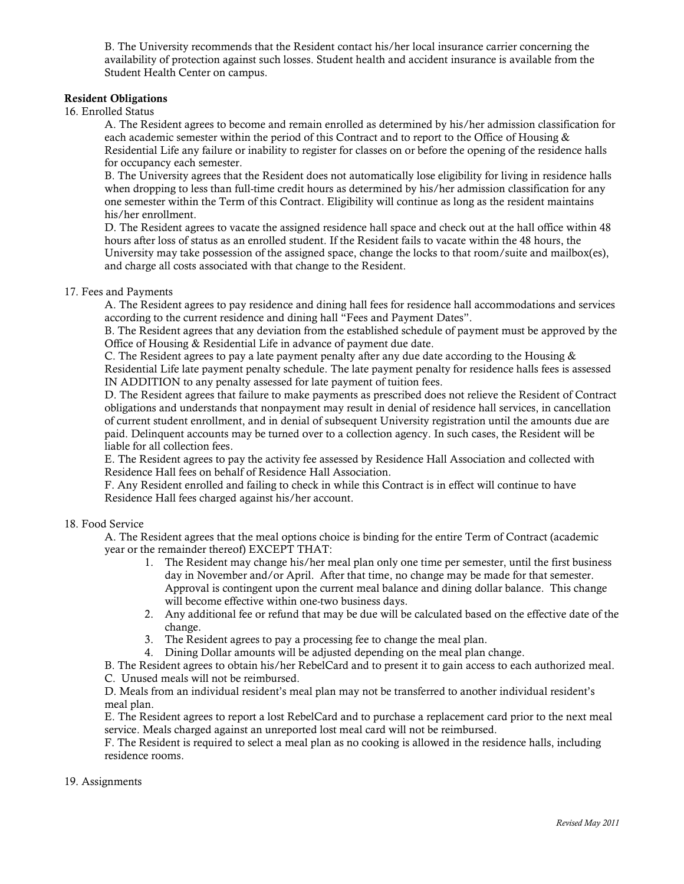B. The University recommends that the Resident contact his/her local insurance carrier concerning the availability of protection against such losses. Student health and accident insurance is available from the Student Health Center on campus.

# Resident Obligations

16. Enrolled Status

A. The Resident agrees to become and remain enrolled as determined by his/her admission classification for each academic semester within the period of this Contract and to report to the Office of Housing & Residential Life any failure or inability to register for classes on or before the opening of the residence halls for occupancy each semester.

B. The University agrees that the Resident does not automatically lose eligibility for living in residence halls when dropping to less than full-time credit hours as determined by his/her admission classification for any one semester within the Term of this Contract. Eligibility will continue as long as the resident maintains his/her enrollment.

D. The Resident agrees to vacate the assigned residence hall space and check out at the hall office within 48 hours after loss of status as an enrolled student. If the Resident fails to vacate within the 48 hours, the University may take possession of the assigned space, change the locks to that room/suite and mailbox(es), and charge all costs associated with that change to the Resident.

# 17. Fees and Payments

A. The Resident agrees to pay residence and dining hall fees for residence hall accommodations and services according to the current residence and dining hall "Fees and Payment Dates".

B. The Resident agrees that any deviation from the established schedule of payment must be approved by the Office of Housing & Residential Life in advance of payment due date.

C. The Resident agrees to pay a late payment penalty after any due date according to the Housing & Residential Life late payment penalty schedule. The late payment penalty for residence halls fees is assessed IN ADDITION to any penalty assessed for late payment of tuition fees.

D. The Resident agrees that failure to make payments as prescribed does not relieve the Resident of Contract obligations and understands that nonpayment may result in denial of residence hall services, in cancellation of current student enrollment, and in denial of subsequent University registration until the amounts due are paid. Delinquent accounts may be turned over to a collection agency. In such cases, the Resident will be liable for all collection fees.

E. The Resident agrees to pay the activity fee assessed by Residence Hall Association and collected with Residence Hall fees on behalf of Residence Hall Association.

F. Any Resident enrolled and failing to check in while this Contract is in effect will continue to have Residence Hall fees charged against his/her account.

# 18. Food Service

A. The Resident agrees that the meal options choice is binding for the entire Term of Contract (academic year or the remainder thereof) EXCEPT THAT:

- 1. The Resident may change his/her meal plan only one time per semester, until the first business day in November and/or April. After that time, no change may be made for that semester. Approval is contingent upon the current meal balance and dining dollar balance. This change will become effective within one-two business days.
- 2. Any additional fee or refund that may be due will be calculated based on the effective date of the change.
- 3. The Resident agrees to pay a processing fee to change the meal plan.
- 4. Dining Dollar amounts will be adjusted depending on the meal plan change.

B. The Resident agrees to obtain his/her RebelCard and to present it to gain access to each authorized meal. C. Unused meals will not be reimbursed.

D. Meals from an individual resident's meal plan may not be transferred to another individual resident's meal plan.

E. The Resident agrees to report a lost RebelCard and to purchase a replacement card prior to the next meal service. Meals charged against an unreported lost meal card will not be reimbursed.

F. The Resident is required to select a meal plan as no cooking is allowed in the residence halls, including residence rooms.

# 19. Assignments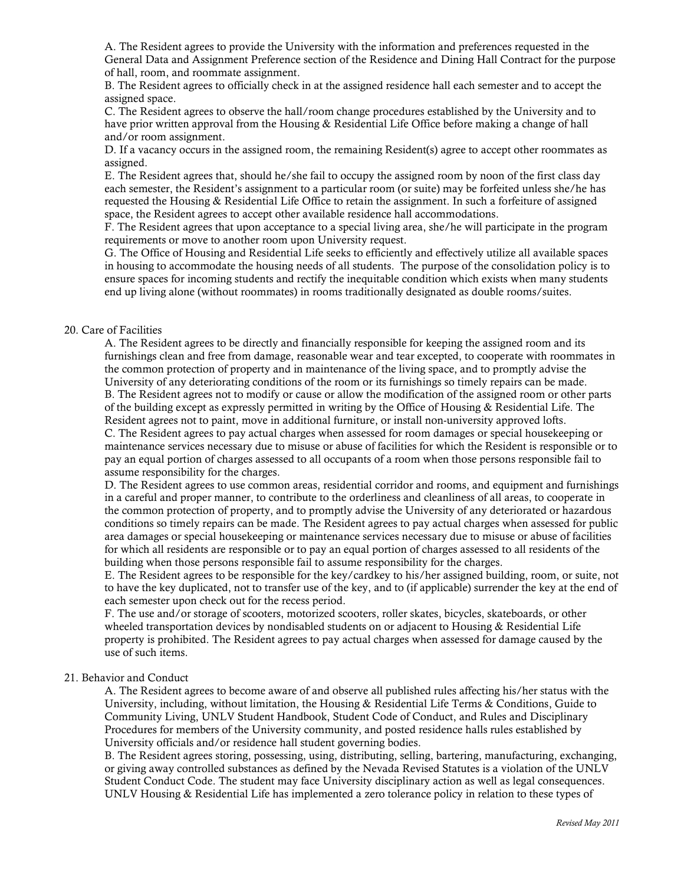A. The Resident agrees to provide the University with the information and preferences requested in the General Data and Assignment Preference section of the Residence and Dining Hall Contract for the purpose of hall, room, and roommate assignment.

B. The Resident agrees to officially check in at the assigned residence hall each semester and to accept the assigned space.

C. The Resident agrees to observe the hall/room change procedures established by the University and to have prior written approval from the Housing & Residential Life Office before making a change of hall and/or room assignment.

D. If a vacancy occurs in the assigned room, the remaining Resident(s) agree to accept other roommates as assigned.

E. The Resident agrees that, should he/she fail to occupy the assigned room by noon of the first class day each semester, the Resident's assignment to a particular room (or suite) may be forfeited unless she/he has requested the Housing & Residential Life Office to retain the assignment. In such a forfeiture of assigned space, the Resident agrees to accept other available residence hall accommodations.

F. The Resident agrees that upon acceptance to a special living area, she/he will participate in the program requirements or move to another room upon University request.

G. The Office of Housing and Residential Life seeks to efficiently and effectively utilize all available spaces in housing to accommodate the housing needs of all students. The purpose of the consolidation policy is to ensure spaces for incoming students and rectify the inequitable condition which exists when many students end up living alone (without roommates) in rooms traditionally designated as double rooms/suites.

## 20. Care of Facilities

A. The Resident agrees to be directly and financially responsible for keeping the assigned room and its furnishings clean and free from damage, reasonable wear and tear excepted, to cooperate with roommates in the common protection of property and in maintenance of the living space, and to promptly advise the University of any deteriorating conditions of the room or its furnishings so timely repairs can be made. B. The Resident agrees not to modify or cause or allow the modification of the assigned room or other parts of the building except as expressly permitted in writing by the Office of Housing  $&$  Residential Life. The Resident agrees not to paint, move in additional furniture, or install non-university approved lofts. C. The Resident agrees to pay actual charges when assessed for room damages or special housekeeping or maintenance services necessary due to misuse or abuse of facilities for which the Resident is responsible or to pay an equal portion of charges assessed to all occupants of a room when those persons responsible fail to assume responsibility for the charges.

D. The Resident agrees to use common areas, residential corridor and rooms, and equipment and furnishings in a careful and proper manner, to contribute to the orderliness and cleanliness of all areas, to cooperate in the common protection of property, and to promptly advise the University of any deteriorated or hazardous conditions so timely repairs can be made. The Resident agrees to pay actual charges when assessed for public area damages or special housekeeping or maintenance services necessary due to misuse or abuse of facilities for which all residents are responsible or to pay an equal portion of charges assessed to all residents of the building when those persons responsible fail to assume responsibility for the charges.

E. The Resident agrees to be responsible for the key/cardkey to his/her assigned building, room, or suite, not to have the key duplicated, not to transfer use of the key, and to (if applicable) surrender the key at the end of each semester upon check out for the recess period.

F. The use and/or storage of scooters, motorized scooters, roller skates, bicycles, skateboards, or other wheeled transportation devices by nondisabled students on or adjacent to Housing & Residential Life property is prohibited. The Resident agrees to pay actual charges when assessed for damage caused by the use of such items.

#### 21. Behavior and Conduct

A. The Resident agrees to become aware of and observe all published rules affecting his/her status with the University, including, without limitation, the Housing & Residential Life Terms & Conditions, Guide to Community Living, UNLV Student Handbook, Student Code of Conduct, and Rules and Disciplinary Procedures for members of the University community, and posted residence halls rules established by University officials and/or residence hall student governing bodies.

B. The Resident agrees storing, possessing, using, distributing, selling, bartering, manufacturing, exchanging, or giving away controlled substances as defined by the Nevada Revised Statutes is a violation of the UNLV Student Conduct Code. The student may face University disciplinary action as well as legal consequences. UNLV Housing & Residential Life has implemented a zero tolerance policy in relation to these types of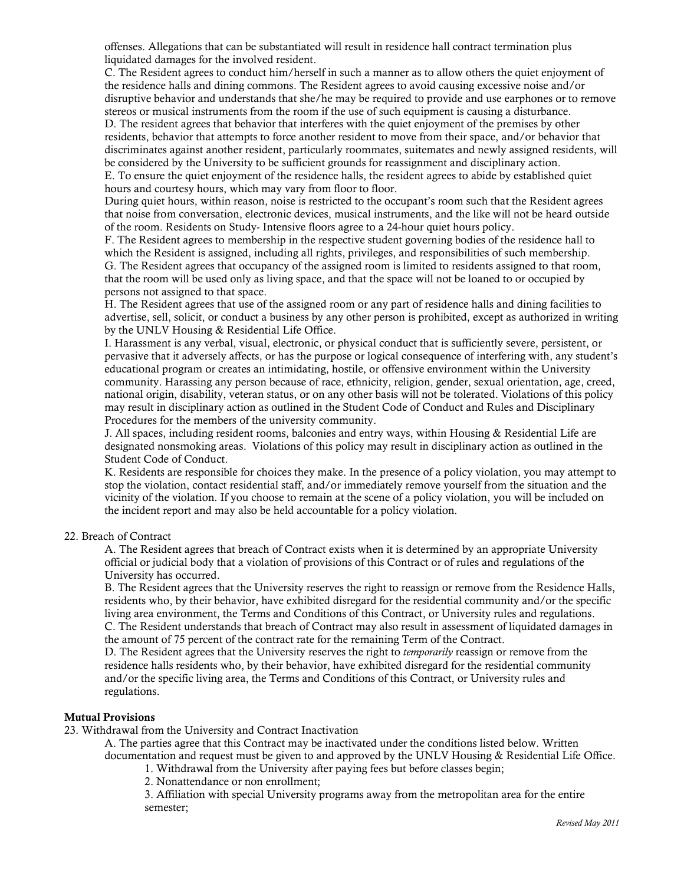offenses. Allegations that can be substantiated will result in residence hall contract termination plus liquidated damages for the involved resident.

C. The Resident agrees to conduct him/herself in such a manner as to allow others the quiet enjoyment of the residence halls and dining commons. The Resident agrees to avoid causing excessive noise and/or disruptive behavior and understands that she/he may be required to provide and use earphones or to remove stereos or musical instruments from the room if the use of such equipment is causing a disturbance.

D. The resident agrees that behavior that interferes with the quiet enjoyment of the premises by other residents, behavior that attempts to force another resident to move from their space, and/or behavior that discriminates against another resident, particularly roommates, suitemates and newly assigned residents, will be considered by the University to be sufficient grounds for reassignment and disciplinary action. E. To ensure the quiet enjoyment of the residence halls, the resident agrees to abide by established quiet

hours and courtesy hours, which may vary from floor to floor.

During quiet hours, within reason, noise is restricted to the occupant's room such that the Resident agrees that noise from conversation, electronic devices, musical instruments, and the like will not be heard outside of the room. Residents on Study- Intensive floors agree to a 24-hour quiet hours policy.

F. The Resident agrees to membership in the respective student governing bodies of the residence hall to which the Resident is assigned, including all rights, privileges, and responsibilities of such membership. G. The Resident agrees that occupancy of the assigned room is limited to residents assigned to that room, that the room will be used only as living space, and that the space will not be loaned to or occupied by persons not assigned to that space.

H. The Resident agrees that use of the assigned room or any part of residence halls and dining facilities to advertise, sell, solicit, or conduct a business by any other person is prohibited, except as authorized in writing by the UNLV Housing & Residential Life Office.

I. Harassment is any verbal, visual, electronic, or physical conduct that is sufficiently severe, persistent, or pervasive that it adversely affects, or has the purpose or logical consequence of interfering with, any student's educational program or creates an intimidating, hostile, or offensive environment within the University community. Harassing any person because of race, ethnicity, religion, gender, sexual orientation, age, creed, national origin, disability, veteran status, or on any other basis will not be tolerated. Violations of this policy may result in disciplinary action as outlined in the Student Code of Conduct and Rules and Disciplinary Procedures for the members of the university community.

J. All spaces, including resident rooms, balconies and entry ways, within Housing & Residential Life are designated nonsmoking areas. Violations of this policy may result in disciplinary action as outlined in the Student Code of Conduct.

K. Residents are responsible for choices they make. In the presence of a policy violation, you may attempt to stop the violation, contact residential staff, and/or immediately remove yourself from the situation and the vicinity of the violation. If you choose to remain at the scene of a policy violation, you will be included on the incident report and may also be held accountable for a policy violation.

## 22. Breach of Contract

A. The Resident agrees that breach of Contract exists when it is determined by an appropriate University official or judicial body that a violation of provisions of this Contract or of rules and regulations of the University has occurred.

B. The Resident agrees that the University reserves the right to reassign or remove from the Residence Halls, residents who, by their behavior, have exhibited disregard for the residential community and/or the specific living area environment, the Terms and Conditions of this Contract, or University rules and regulations. C. The Resident understands that breach of Contract may also result in assessment of liquidated damages in the amount of 75 percent of the contract rate for the remaining Term of the Contract.

D. The Resident agrees that the University reserves the right to *temporarily* reassign or remove from the residence halls residents who, by their behavior, have exhibited disregard for the residential community and/or the specific living area, the Terms and Conditions of this Contract, or University rules and regulations.

# Mutual Provisions

23. Withdrawal from the University and Contract Inactivation

A. The parties agree that this Contract may be inactivated under the conditions listed below. Written documentation and request must be given to and approved by the UNLV Housing & Residential Life Office.

1. Withdrawal from the University after paying fees but before classes begin;

2. Nonattendance or non enrollment;

3. Affiliation with special University programs away from the metropolitan area for the entire semester;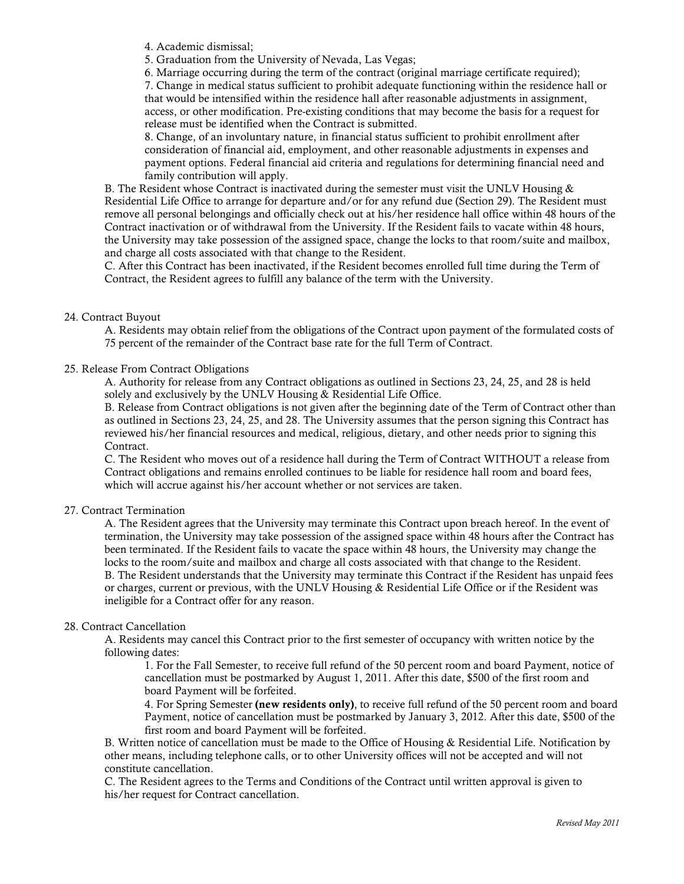4. Academic dismissal;

5. Graduation from the University of Nevada, Las Vegas;

6. Marriage occurring during the term of the contract (original marriage certificate required);

7. Change in medical status sufficient to prohibit adequate functioning within the residence hall or that would be intensified within the residence hall after reasonable adjustments in assignment, access, or other modification. Pre-existing conditions that may become the basis for a request for release must be identified when the Contract is submitted.

8. Change, of an involuntary nature, in financial status sufficient to prohibit enrollment after consideration of financial aid, employment, and other reasonable adjustments in expenses and payment options. Federal financial aid criteria and regulations for determining financial need and family contribution will apply.

B. The Resident whose Contract is inactivated during the semester must visit the UNLV Housing  $\&$ Residential Life Office to arrange for departure and/or for any refund due (Section 29). The Resident must remove all personal belongings and officially check out at his/her residence hall office within 48 hours of the Contract inactivation or of withdrawal from the University. If the Resident fails to vacate within 48 hours, the University may take possession of the assigned space, change the locks to that room/suite and mailbox, and charge all costs associated with that change to the Resident.

C. After this Contract has been inactivated, if the Resident becomes enrolled full time during the Term of Contract, the Resident agrees to fulfill any balance of the term with the University.

## 24. Contract Buyout

A. Residents may obtain relief from the obligations of the Contract upon payment of the formulated costs of 75 percent of the remainder of the Contract base rate for the full Term of Contract.

## 25. Release From Contract Obligations

A. Authority for release from any Contract obligations as outlined in Sections 23, 24, 25, and 28 is held solely and exclusively by the UNLV Housing & Residential Life Office.

B. Release from Contract obligations is not given after the beginning date of the Term of Contract other than as outlined in Sections 23, 24, 25, and 28. The University assumes that the person signing this Contract has reviewed his/her financial resources and medical, religious, dietary, and other needs prior to signing this Contract.

C. The Resident who moves out of a residence hall during the Term of Contract WITHOUT a release from Contract obligations and remains enrolled continues to be liable for residence hall room and board fees, which will accrue against his/her account whether or not services are taken.

# 27. Contract Termination

A. The Resident agrees that the University may terminate this Contract upon breach hereof. In the event of termination, the University may take possession of the assigned space within 48 hours after the Contract has been terminated. If the Resident fails to vacate the space within 48 hours, the University may change the locks to the room/suite and mailbox and charge all costs associated with that change to the Resident. B. The Resident understands that the University may terminate this Contract if the Resident has unpaid fees or charges, current or previous, with the UNLV Housing & Residential Life Office or if the Resident was ineligible for a Contract offer for any reason.

# 28. Contract Cancellation

A. Residents may cancel this Contract prior to the first semester of occupancy with written notice by the following dates:

1. For the Fall Semester, to receive full refund of the 50 percent room and board Payment, notice of cancellation must be postmarked by August 1, 2011. After this date, \$500 of the first room and board Payment will be forfeited.

4. For Spring Semester (new residents only), to receive full refund of the 50 percent room and board Payment, notice of cancellation must be postmarked by January 3, 2012. After this date, \$500 of the first room and board Payment will be forfeited.

B. Written notice of cancellation must be made to the Office of Housing & Residential Life. Notification by other means, including telephone calls, or to other University offices will not be accepted and will not constitute cancellation.

C. The Resident agrees to the Terms and Conditions of the Contract until written approval is given to his/her request for Contract cancellation.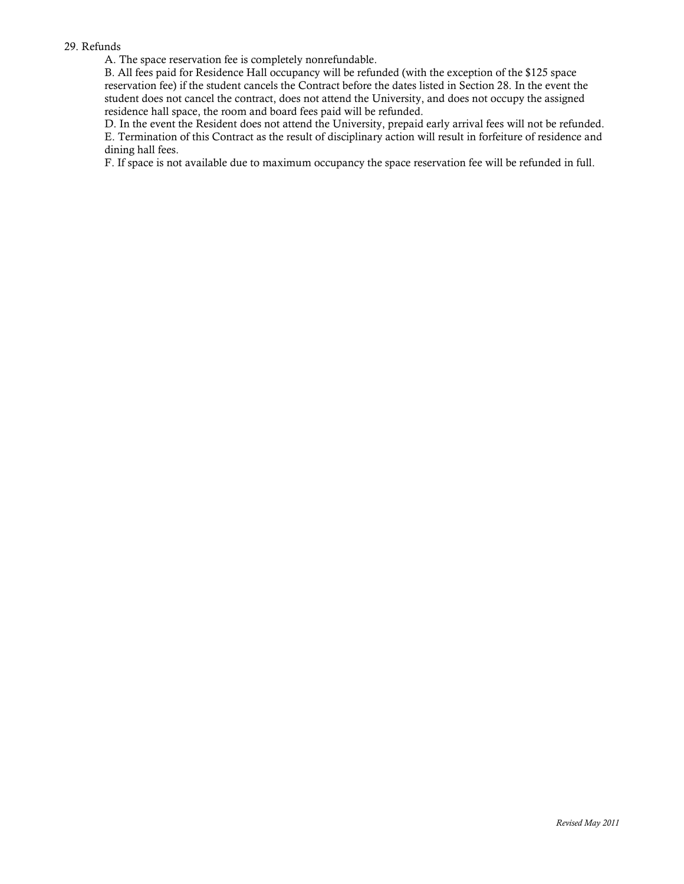## 29. Refunds

A. The space reservation fee is completely nonrefundable.

B. All fees paid for Residence Hall occupancy will be refunded (with the exception of the \$125 space reservation fee) if the student cancels the Contract before the dates listed in Section 28. In the event the student does not cancel the contract, does not attend the University, and does not occupy the assigned residence hall space, the room and board fees paid will be refunded.

D. In the event the Resident does not attend the University, prepaid early arrival fees will not be refunded. E. Termination of this Contract as the result of disciplinary action will result in forfeiture of residence and dining hall fees.

F. If space is not available due to maximum occupancy the space reservation fee will be refunded in full.